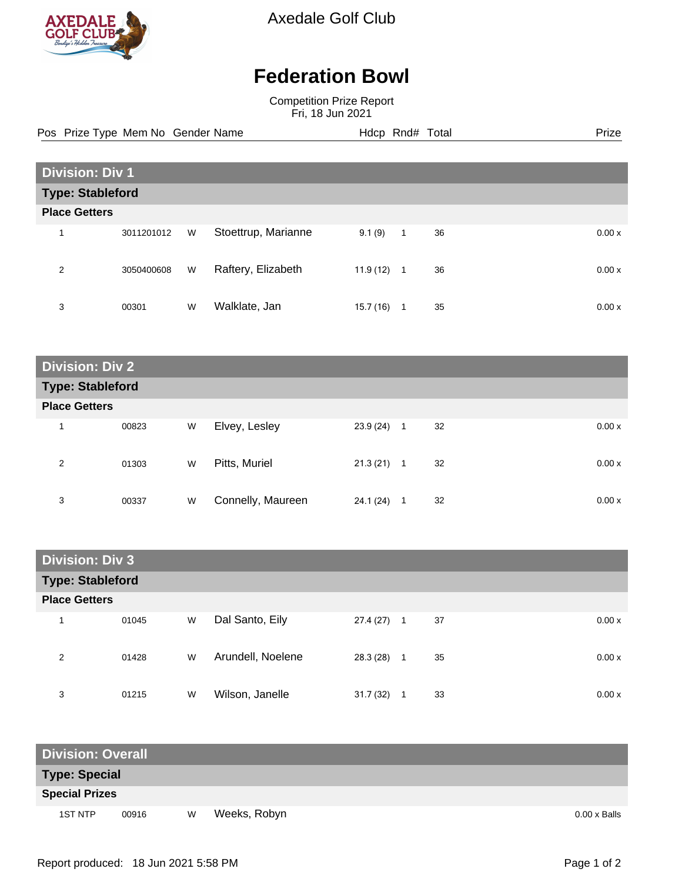

Axedale Golf Club

## **Federation Bowl**

Competition Prize Report Fri, 18 Jun 2021

Pos Prize Type Mem No Gender Name **Hdcp Rnd# Total** Prize Prize

| <b>Division: Div 1</b>  |            |   |                     |           |              |    |        |  |
|-------------------------|------------|---|---------------------|-----------|--------------|----|--------|--|
| <b>Type: Stableford</b> |            |   |                     |           |              |    |        |  |
| <b>Place Getters</b>    |            |   |                     |           |              |    |        |  |
| 1                       | 3011201012 | W | Stoettrup, Marianne | 9.1(9)    | $\mathbf{1}$ | 36 | 0.00x  |  |
| 2                       | 3050400608 | W | Raftery, Elizabeth  | 11.9 (12) | $\mathbf{1}$ | 36 | 0.00 x |  |
| 3                       | 00301      | W | Walklate, Jan       | 15.7(16)  | 1            | 35 | 0.00 x |  |

| <b>Division: Div 2</b>  |       |   |                   |           |   |    |       |  |
|-------------------------|-------|---|-------------------|-----------|---|----|-------|--|
| <b>Type: Stableford</b> |       |   |                   |           |   |    |       |  |
| <b>Place Getters</b>    |       |   |                   |           |   |    |       |  |
| 1                       | 00823 | W | Elvey, Lesley     | 23.9 (24) | 1 | 32 | 0.00x |  |
| 2                       | 01303 | W | Pitts, Muriel     | 21.3(21)  | 1 | 32 | 0.00x |  |
| 3                       | 00337 | W | Connelly, Maureen | 24.1 (24) | 1 | 32 | 0.00x |  |

| <b>Division: Div 3</b>  |       |   |                   |           |                      |       |  |  |
|-------------------------|-------|---|-------------------|-----------|----------------------|-------|--|--|
| <b>Type: Stableford</b> |       |   |                   |           |                      |       |  |  |
| <b>Place Getters</b>    |       |   |                   |           |                      |       |  |  |
|                         | 01045 | W | Dal Santo, Eily   | 27.4 (27) | 37<br>$\overline{1}$ | 0.00x |  |  |
| 2                       | 01428 | W | Arundell, Noelene | 28.3 (28) | 35<br>1              | 0.00x |  |  |
| 3                       | 01215 | W | Wilson, Janelle   | 31.7(32)  | 33                   | 0.00x |  |  |

| <b>Division: Overall</b> |       |   |              |  |                     |  |  |  |
|--------------------------|-------|---|--------------|--|---------------------|--|--|--|
| <b>Type: Special</b>     |       |   |              |  |                     |  |  |  |
| <b>Special Prizes</b>    |       |   |              |  |                     |  |  |  |
| 1ST NTP                  | 00916 | W | Weeks, Robyn |  | $0.00 \times$ Balls |  |  |  |